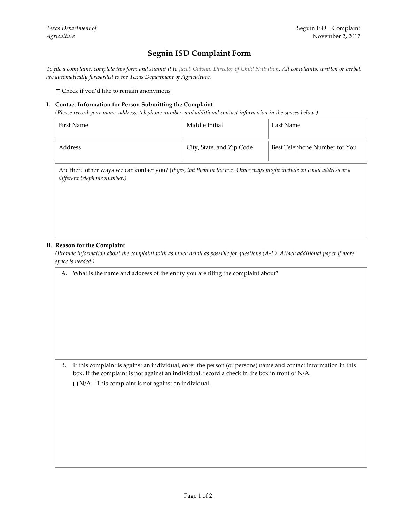## **Seguin ISD Complaint Form**

*To file a complaint, complete this form and submit it to Jacob Galvan, Director of Child Nutrition. All complaints, written or verbal, are automatically forwarded to the Texas Department of Agriculture.*

Check if you'd like to remain anonymous

## **I. Contact Information for Person Submitting the Complaint**

*(Please record your name, address, telephone number, and additional contact information in the spaces below.)*

| First Name | Middle Initial            | Last Name                     |
|------------|---------------------------|-------------------------------|
| Address    | City, State, and Zip Code | Best Telephone Number for You |

Are there other ways we can contact you? (*If yes, list them in the box. Other ways might include an email address or a different telephone number.)*

## **II. Reason for the Complaint**

*(Provide information about the complaint with as much detail as possible for questions (A-E). Attach additional paper if more space is needed.)*

A. What is the name and address of the entity you are filing the complaint about?

B. If this complaint is against an individual, enter the person (or persons) name and contact information in this box. If the complaint is not against an individual, record a check in the box in front of N/A.

 $\Box$  N/A – This complaint is not against an individual.